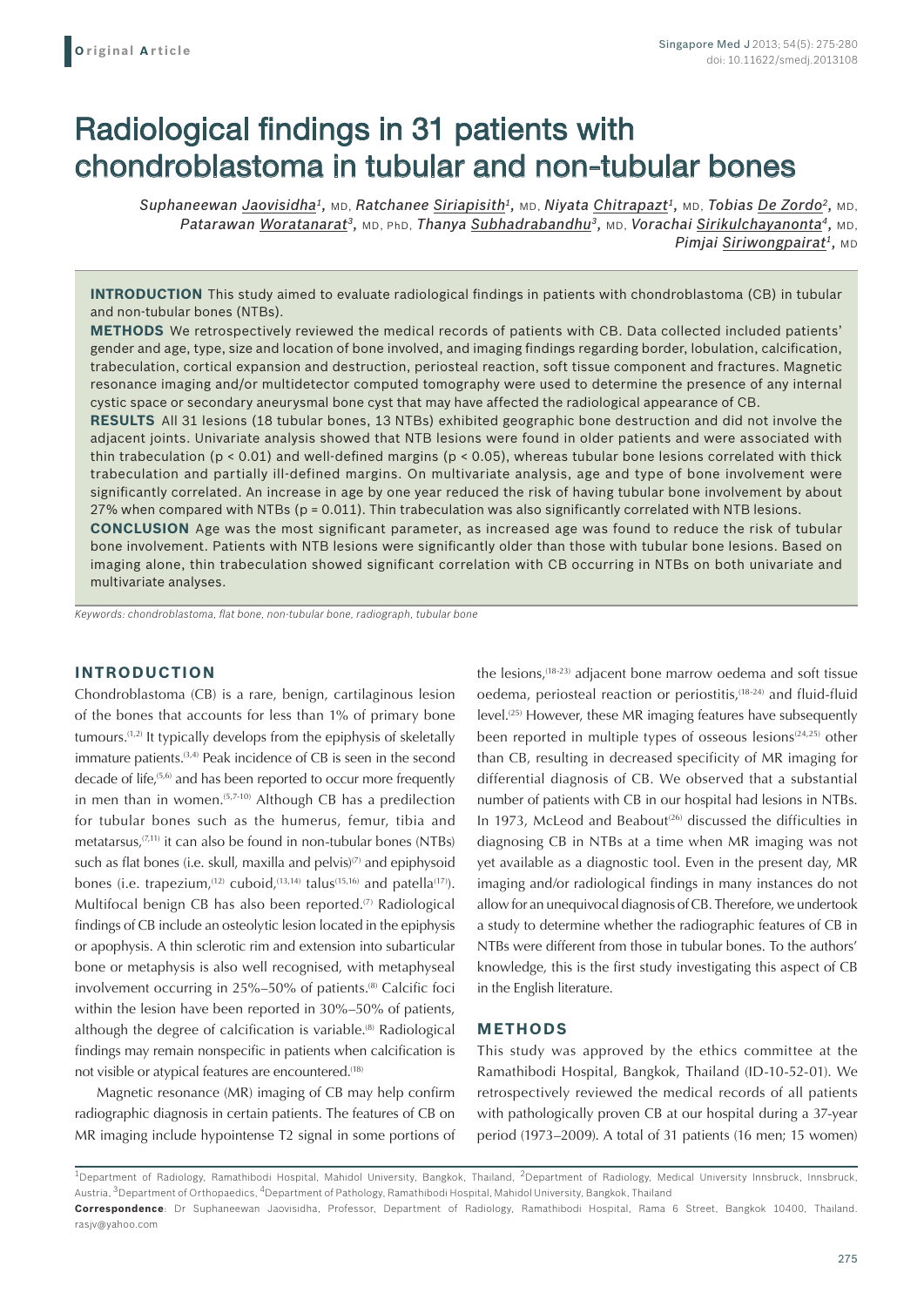# Radiological findings in 31 patients with chondroblastoma in tubular and non-tubular bones

*Suphaneewan Jaovisidha1,* MD, *Ratchanee Siriapisith1,* MD, *Niyata Chitrapazt1,* MD, *Tobias De Zordo2,* MD, *Patarawan Woratanarat3,* MD, PhD, *Thanya Subhadrabandhu3,* MD, *Vorachai Sirikulchayanonta4,* MD, *Pimjai Siriwongpairat<sup>1</sup>, MD* 

**INTRODUCTION** This study aimed to evaluate radiological findings in patients with chondroblastoma (CB) in tubular and non-tubular bones (NTBs).

**METHODS** We retrospectively reviewed the medical records of patients with CB. Data collected included patients' gender and age, type, size and location of bone involved, and imaging findings regarding border, lobulation, calcification, trabeculation, cortical expansion and destruction, periosteal reaction, soft tissue component and fractures. Magnetic resonance imaging and/or multidetector computed tomography were used to determine the presence of any internal cystic space or secondary aneurysmal bone cyst that may have affected the radiological appearance of CB.

**RESULTS** All 31 lesions (18 tubular bones, 13 NTBs) exhibited geographic bone destruction and did not involve the adjacent joints. Univariate analysis showed that NTB lesions were found in older patients and were associated with thin trabeculation ( $p < 0.01$ ) and well-defined margins ( $p < 0.05$ ), whereas tubular bone lesions correlated with thick trabeculation and partially ill-defined margins. On multivariate analysis, age and type of bone involvement were significantly correlated. An increase in age by one year reduced the risk of having tubular bone involvement by about 27% when compared with NTBs ( $p = 0.011$ ). Thin trabeculation was also significantly correlated with NTB lesions.

**CONCLUSION** Age was the most significant parameter, as increased age was found to reduce the risk of tubular bone involvement. Patients with NTB lesions were significantly older than those with tubular bone lesions. Based on imaging alone, thin trabeculation showed significant correlation with CB occurring in NTBs on both univariate and multivariate analyses.

*Keywords: chondroblastoma, flat bone, non-tubular bone, radiograph, tubular bone*

# **INTRODUCTION**

Chondroblastoma (CB) is a rare, benign, cartilaginous lesion of the bones that accounts for less than 1% of primary bone tumours.(1,2) It typically develops from the epiphysis of skeletally immature patients.<sup>(3,4)</sup> Peak incidence of CB is seen in the second decade of life,<sup>(5,6)</sup> and has been reported to occur more frequently in men than in women.<sup>(5,7-10)</sup> Although CB has a predilection for tubular bones such as the humerus, femur, tibia and metatarsus,<sup>(7,11)</sup> it can also be found in non-tubular bones (NTBs) such as flat bones (i.e. skull, maxilla and pelvis) $(7)$  and epiphysoid bones (i.e. trapezium,<sup>(12)</sup> cuboid,<sup>(13,14)</sup> talus<sup>(15,16)</sup> and patella<sup>(17)</sup>). Multifocal benign CB has also been reported.<sup>(7)</sup> Radiological findings of CB include an osteolytic lesion located in the epiphysis or apophysis. A thin sclerotic rim and extension into subarticular bone or metaphysis is also well recognised, with metaphyseal involvement occurring in 25%–50% of patients.<sup>(8)</sup> Calcific foci within the lesion have been reported in 30%–50% of patients, although the degree of calcification is variable.<sup>(8)</sup> Radiological findings may remain nonspecific in patients when calcification is not visible or atypical features are encountered.<sup>(18)</sup>

Magnetic resonance (MR) imaging of CB may help confirm radiographic diagnosis in certain patients. The features of CB on MR imaging include hypointense T2 signal in some portions of the lesions,(18-23) adjacent bone marrow oedema and soft tissue oedema, periosteal reaction or periostitis,<sup>(18-24)</sup> and fluid-fluid level.<sup>(25)</sup> However, these MR imaging features have subsequently been reported in multiple types of osseous lesions<sup> $(24,25)$ </sup> other than CB, resulting in decreased specificity of MR imaging for differential diagnosis of CB. We observed that a substantial number of patients with CB in our hospital had lesions in NTBs. In 1973, McLeod and Beabout<sup>(26)</sup> discussed the difficulties in diagnosing CB in NTBs at a time when MR imaging was not yet available as a diagnostic tool. Even in the present day, MR imaging and/or radiological findings in many instances do not allow for an unequivocal diagnosis of CB. Therefore, we undertook a study to determine whether the radiographic features of CB in NTBs were different from those in tubular bones. To the authors' knowledge, this is the first study investigating this aspect of CB in the English literature.

#### **METHODS**

This study was approved by the ethics committee at the Ramathibodi Hospital, Bangkok, Thailand (ID-10-52-01). We retrospectively reviewed the medical records of all patients with pathologically proven CB at our hospital during a 37-year period (1973–2009). A total of 31 patients (16 men; 15 women)

<sup>1</sup>Department of Radiology, Ramathibodi Hospital, Mahidol University, Bangkok, Thailand, 2Department of Radiology, Medical University Innsbruck, Innsbruck, Austria, 3Department of Orthopaedics, 4Department of Pathology, Ramathibodi Hospital, Mahidol University, Bangkok, Thailand

**Correspondence**: Dr Suphaneewan Jaovisidha, Professor, Department of Radiology, Ramathibodi Hospital, Rama 6 Street, Bangkok 10400, Thailand. rasjv@yahoo.com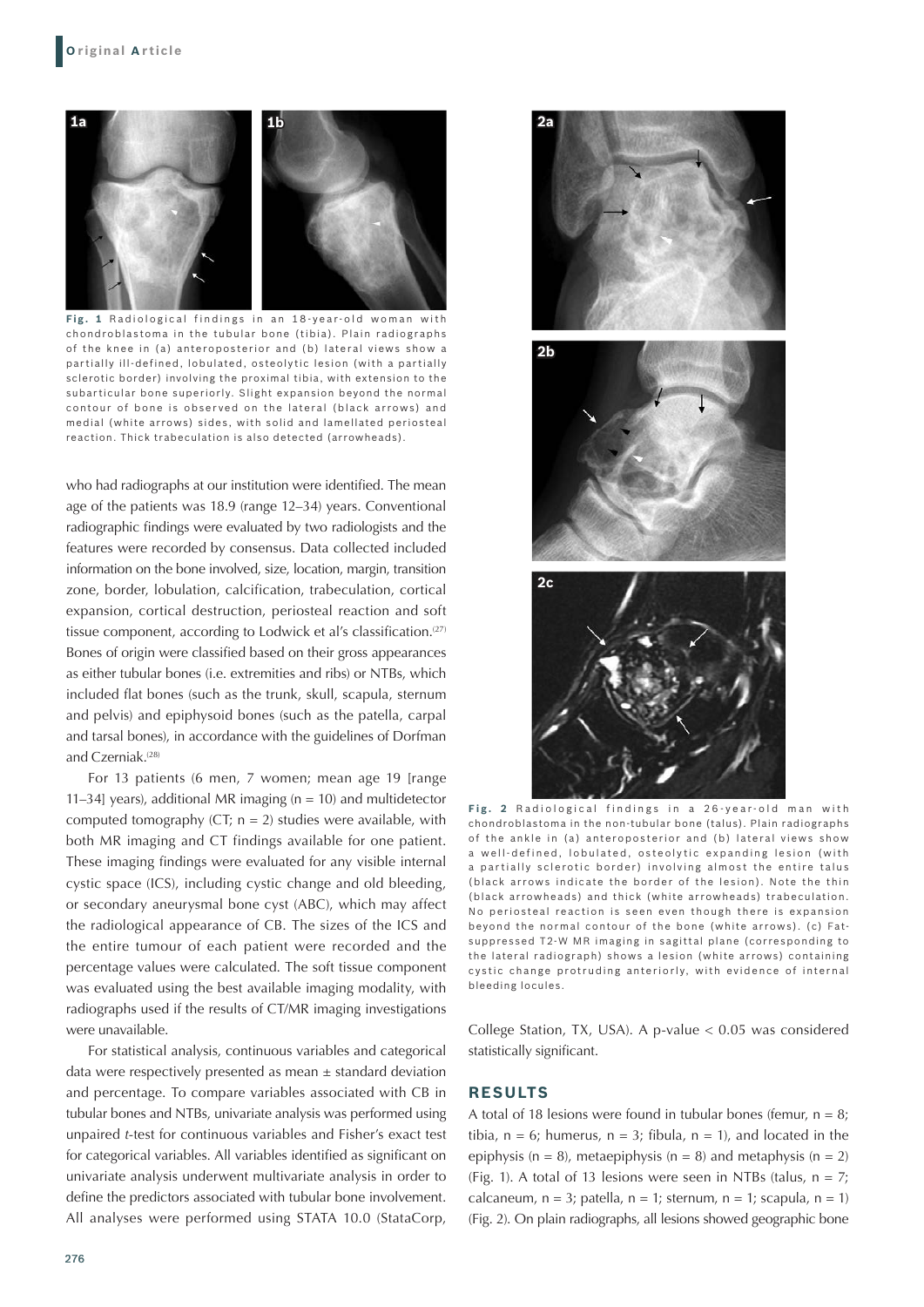

Fig. 1 Radiological findings in an 18-year-old woman with chondroblastoma in the tubular bone (tibia). Plain radiographs of the knee in (a) anteroposterior and (b) lateral views show a partially ill-defined, lobulated, osteolytic lesion (with a partially sclerotic border) involving the proximal tibia, with extension to the subarticular bone superiorly. Slight expansion beyond the normal contour of bone is obser ved on the lateral (black arrows) and medial (white arrows) sides, with solid and lamellated periosteal reaction. Thick trabeculation is also detected (arrowheads).

who had radiographs at our institution were identified. The mean age of the patients was 18.9 (range 12–34) years. Conventional radiographic findings were evaluated by two radiologists and the features were recorded by consensus. Data collected included information on the bone involved, size, location, margin, transition zone, border, lobulation, calcification, trabeculation, cortical expansion, cortical destruction, periosteal reaction and soft tissue component, according to Lodwick et al's classification.<sup>(27)</sup> Bones of origin were classified based on their gross appearances as either tubular bones (i.e. extremities and ribs) or NTBs, which included flat bones (such as the trunk, skull, scapula, sternum and pelvis) and epiphysoid bones (such as the patella, carpal and tarsal bones), in accordance with the guidelines of Dorfman and Czerniak.<sup>(28)</sup>

For 13 patients (6 men, 7 women; mean age 19 [range 11–34] years), additional MR imaging ( $n = 10$ ) and multidetector computed tomography (CT;  $n = 2$ ) studies were available, with both MR imaging and CT findings available for one patient. These imaging findings were evaluated for any visible internal cystic space (ICS), including cystic change and old bleeding, or secondary aneurysmal bone cyst (ABC), which may affect the radiological appearance of CB. The sizes of the ICS and the entire tumour of each patient were recorded and the percentage values were calculated. The soft tissue component was evaluated using the best available imaging modality, with radiographs used if the results of CT/MR imaging investigations were unavailable.

For statistical analysis, continuous variables and categorical data were respectively presented as mean  $\pm$  standard deviation and percentage. To compare variables associated with CB in tubular bones and NTBs, univariate analysis was performed using unpaired *t*-test for continuous variables and Fisher's exact test for categorical variables. All variables identified as significant on univariate analysis underwent multivariate analysis in order to define the predictors associated with tubular bone involvement. All analyses were performed using STATA 10.0 (StataCorp,



Fig. 2 Radiological findings in a 26-year-old man with chondroblastoma in the non-tubular bone (talus). Plain radiographs of the ankle in (a) anteroposterior and (b) lateral views show a well-defined, lobulated, osteolytic expanding lesion (with a par tially sclerotic border) involving almost the entire talus (black arrows indicate the border of the lesion). Note the thin (black arrowheads) and thick (white arrowheads) trabeculation. No periosteal reaction is seen even though there is expansion beyond the normal contour of the bone (white arrows). (c) Fatsuppressed T2-W MR imaging in sagittal plane (corresponding to the lateral radiograph) shows a lesion (white arrows) containing cystic change protruding anteriorly, with evidence of internal bleeding locules.

College Station, TX, USA). A p-value < 0.05 was considered statistically significant.

## **RESULTS**

A total of 18 lesions were found in tubular bones (femur,  $n = 8$ ) tibia,  $n = 6$ ; humerus,  $n = 3$ ; fibula,  $n = 1$ ), and located in the epiphysis ( $n = 8$ ), metaepiphysis ( $n = 8$ ) and metaphysis ( $n = 2$ ) (Fig. 1). A total of 13 lesions were seen in NTBs (talus,  $n = 7$ ; calcaneum,  $n = 3$ ; patella,  $n = 1$ ; sternum,  $n = 1$ ; scapula,  $n = 1$ ) (Fig. 2). On plain radiographs, all lesions showed geographic bone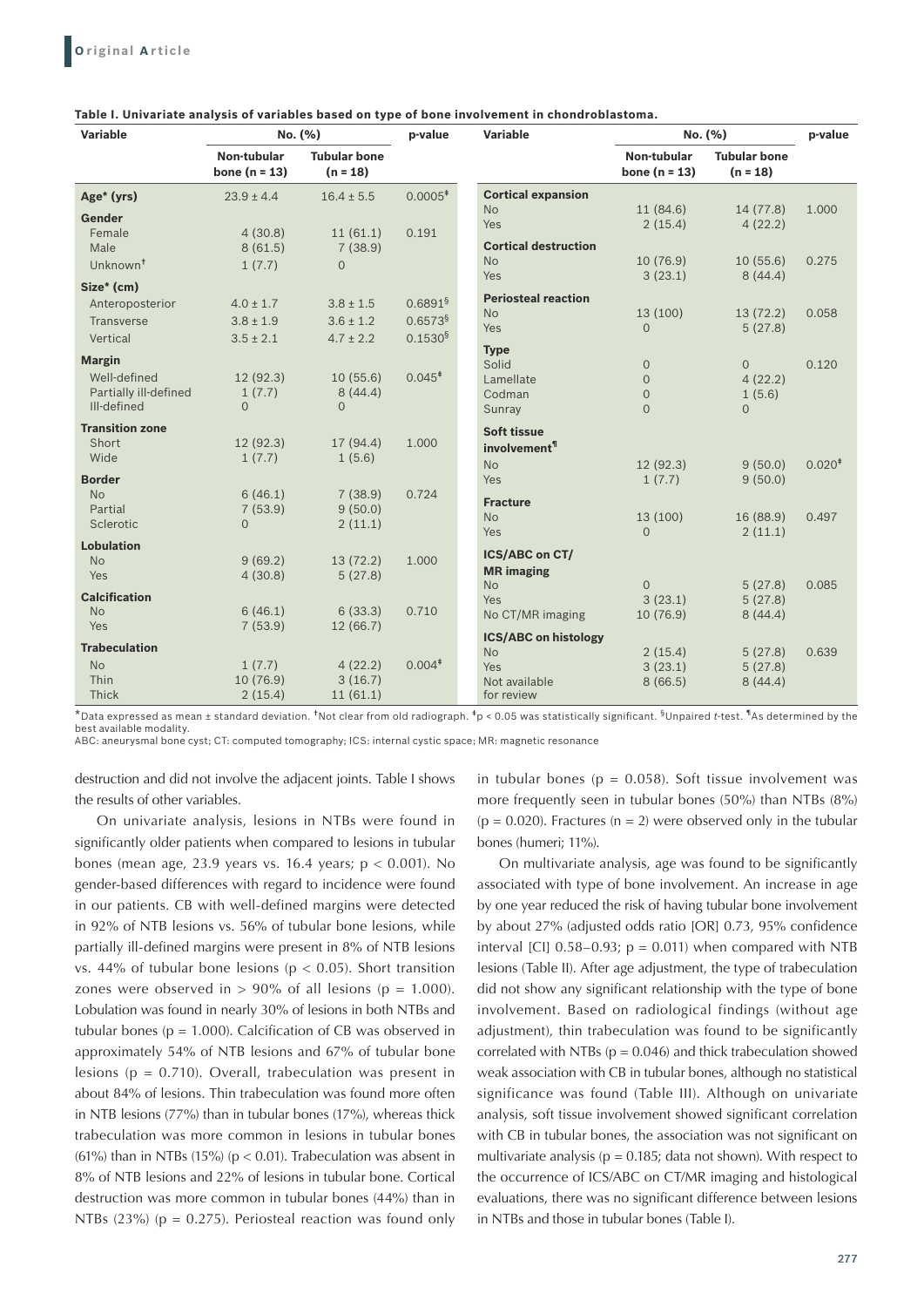| 1.000    |
|----------|
|          |
| 0.275    |
|          |
|          |
|          |
|          |
| 0.120    |
|          |
|          |
| $0.020*$ |
|          |
|          |
| 0.497    |
|          |
|          |
| 0.085    |
|          |
|          |
|          |
| 0.639    |
|          |
|          |
| 0.058    |

**Table I. Univariate analysis of variables based on type of bone involvement in chondroblastoma.**

\*Data expressed as mean ± standard deviation. †Not clear from old radiograph. ‡p < 0.05 was statistically significant. §Unpaired *t*-test. ¶As determined by the best available modality.

ABC: aneurysmal bone cyst; CT: computed tomography; ICS: internal cystic space; MR: magnetic resonance

destruction and did not involve the adjacent joints. Table I shows the results of other variables.

On univariate analysis, lesions in NTBs were found in significantly older patients when compared to lesions in tubular bones (mean age, 23.9 years vs. 16.4 years; p < 0.001). No gender-based differences with regard to incidence were found in our patients. CB with well-defined margins were detected in 92% of NTB lesions vs. 56% of tubular bone lesions, while partially ill-defined margins were present in 8% of NTB lesions vs. 44% of tubular bone lesions ( $p < 0.05$ ). Short transition zones were observed in  $> 90\%$  of all lesions (p = 1.000). Lobulation was found in nearly 30% of lesions in both NTBs and tubular bones ( $p = 1.000$ ). Calcification of CB was observed in approximately 54% of NTB lesions and 67% of tubular bone lesions ( $p = 0.710$ ). Overall, trabeculation was present in about 84% of lesions. Thin trabeculation was found more often in NTB lesions (77%) than in tubular bones (17%), whereas thick trabeculation was more common in lesions in tubular bones (61%) than in NTBs (15%) ( $p < 0.01$ ). Trabeculation was absent in 8% of NTB lesions and 22% of lesions in tubular bone. Cortical destruction was more common in tubular bones (44%) than in NTBs (23%) ( $p = 0.275$ ). Periosteal reaction was found only

in tubular bones ( $p = 0.058$ ). Soft tissue involvement was more frequently seen in tubular bones (50%) than NTBs (8%) ( $p = 0.020$ ). Fractures ( $n = 2$ ) were observed only in the tubular bones (humeri; 11%).

On multivariate analysis, age was found to be significantly associated with type of bone involvement. An increase in age by one year reduced the risk of having tubular bone involvement by about 27% (adjusted odds ratio [OR] 0.73, 95% confidence interval [CI]  $0.58-0.93$ ;  $p = 0.011$ ) when compared with NTB lesions (Table II). After age adjustment, the type of trabeculation did not show any significant relationship with the type of bone involvement. Based on radiological findings (without age adjustment), thin trabeculation was found to be significantly correlated with NTBs ( $p = 0.046$ ) and thick trabeculation showed weak association with CB in tubular bones, although no statistical significance was found (Table III). Although on univariate analysis, soft tissue involvement showed significant correlation with CB in tubular bones, the association was not significant on multivariate analysis ( $p = 0.185$ ; data not shown). With respect to the occurrence of ICS/ABC on CT/MR imaging and histological evaluations, there was no significant difference between lesions in NTBs and those in tubular bones (Table I).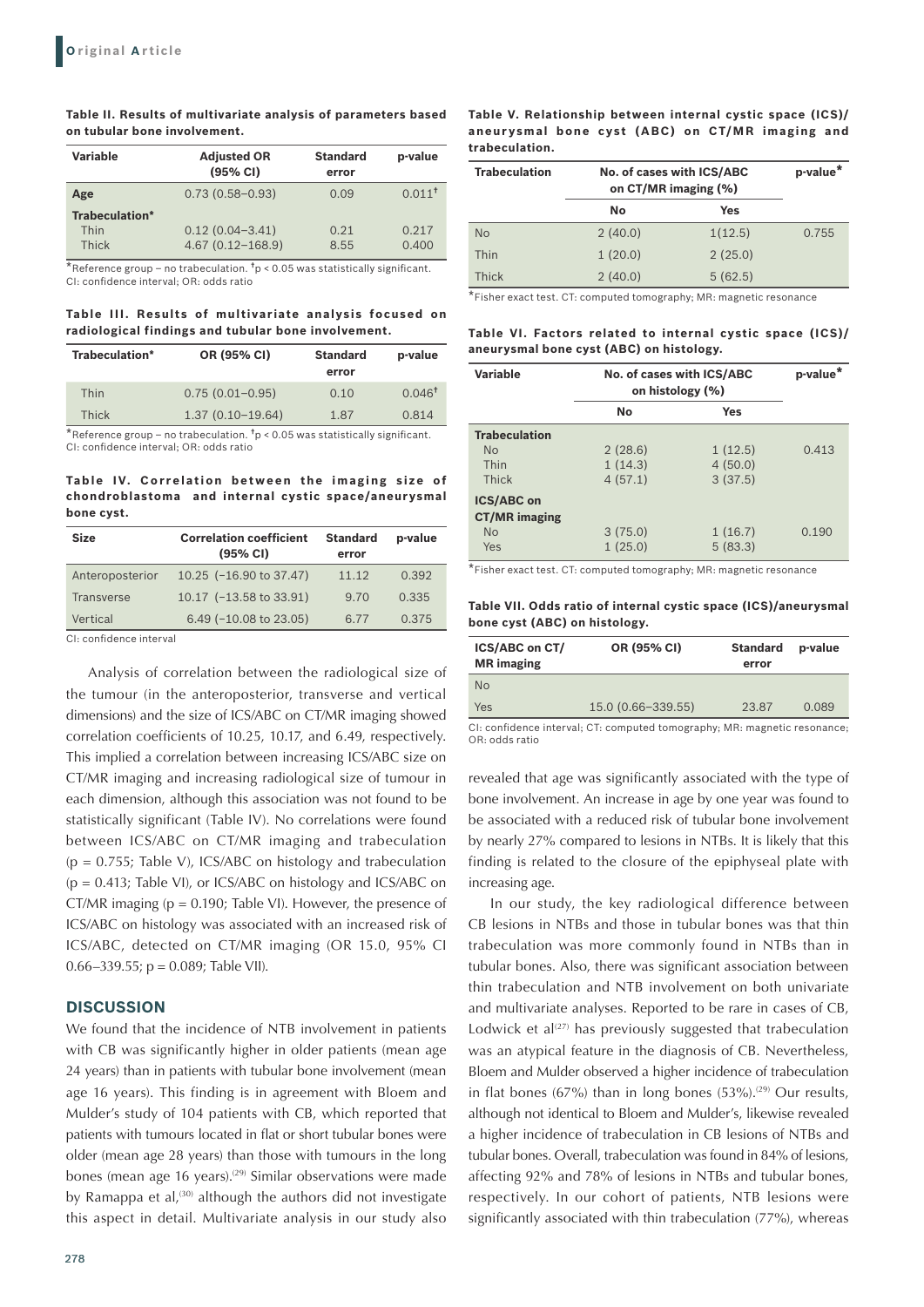#### **Table II. Results of multivariate analysis of parameters based on tubular bone involvement.**

| Variable                                                                                                                                                                                                                                                                                                                                | <b>Adjusted OR</b><br>(95% CI)                                                                                  | <b>Standard</b><br>error | p-value              |
|-----------------------------------------------------------------------------------------------------------------------------------------------------------------------------------------------------------------------------------------------------------------------------------------------------------------------------------------|-----------------------------------------------------------------------------------------------------------------|--------------------------|----------------------|
| Age                                                                                                                                                                                                                                                                                                                                     | $0.73(0.58 - 0.93)$                                                                                             | 0.09                     | $0.011$ <sup>t</sup> |
| <b>Trabeculation*</b>                                                                                                                                                                                                                                                                                                                   |                                                                                                                 |                          |                      |
| Thin                                                                                                                                                                                                                                                                                                                                    | $0.12(0.04 - 3.41)$                                                                                             | 0.21                     | 0.217                |
| Thick                                                                                                                                                                                                                                                                                                                                   | $4.67(0.12 - 168.9)$                                                                                            | 8.55                     | 0.400                |
| $\frac{1}{2} \left( \begin{array}{ccc} 1 & 0 & 0 \\ 0 & 1 & 0 \\ 0 & 0 & 0 \\ 0 & 0 & 0 \\ 0 & 0 & 0 \\ 0 & 0 & 0 \\ 0 & 0 & 0 \\ 0 & 0 & 0 \\ 0 & 0 & 0 \\ 0 & 0 & 0 \\ 0 & 0 & 0 \\ 0 & 0 & 0 & 0 \\ 0 & 0 & 0 & 0 \\ 0 & 0 & 0 & 0 \\ 0 & 0 & 0 & 0 & 0 \\ 0 & 0 & 0 & 0 & 0 \\ 0 & 0 & 0 & 0 & 0 \\ 0 & 0 & 0 & 0 & 0 \\ 0 & 0 & 0$ | the contract of the contract of the contract of the contract of the contract of the contract of the contract of |                          |                      |

\*Reference group – no trabeculation.  $t_p < 0.05$  was statistically significant. CI: confidence interval; OR: odds ratio

## **Table III. Results of multivariate analysis focused on radiological findings and tubular bone involvement.**

| Trabeculation* | OR (95% CI)         | <b>Standard</b><br>error | p-value           |
|----------------|---------------------|--------------------------|-------------------|
| Thin           | $0.75(0.01 - 0.95)$ | 0.10                     | $0.046^{\dagger}$ |
| Thick          | $1.37(0.10-19.64)$  | 1.87                     | 0.814             |
|                |                     |                          |                   |

 $^{\star}$ Reference group – no trabeculation.  $^{\texttt{t}}$ p < 0.05 was statistically significant. CI: confidence interval; OR: odds ratio

#### **Table IV. Correlation between the imaging size of chondroblastoma and internal cystic space/aneurysmal bone cyst.**

| <b>Size</b>     | <b>Correlation coefficient</b><br>$(95% \text{ Cl})$ | <b>Standard</b><br>error | p-value |
|-----------------|------------------------------------------------------|--------------------------|---------|
| Anteroposterior | 10.25 $(-16.90 \text{ to } 37.47)$                   | 11.12                    | 0.392   |
| Transverse      | 10.17 (-13.58 to 33.91)                              | 9.70                     | 0.335   |
| Vertical        | 6.49 $(-10.08 \text{ to } 23.05)$                    | 6.77                     | 0.375   |

CI: confidence interval

Analysis of correlation between the radiological size of the tumour (in the anteroposterior, transverse and vertical dimensions) and the size of ICS/ABC on CT/MR imaging showed correlation coefficients of 10.25, 10.17, and 6.49, respectively. This implied a correlation between increasing ICS/ABC size on CT/MR imaging and increasing radiological size of tumour in each dimension, although this association was not found to be statistically significant (Table IV). No correlations were found between ICS/ABC on CT/MR imaging and trabeculation  $(p = 0.755;$  Table V), ICS/ABC on histology and trabeculation (p = 0.413; Table VI), or ICS/ABC on histology and ICS/ABC on CT/MR imaging ( $p = 0.190$ ; Table VI). However, the presence of ICS/ABC on histology was associated with an increased risk of ICS/ABC, detected on CT/MR imaging (OR 15.0, 95% CI 0.66–339.55;  $p = 0.089$ ; Table VII).

## **DISCUSSION**

We found that the incidence of NTB involvement in patients with CB was significantly higher in older patients (mean age 24 years) than in patients with tubular bone involvement (mean age 16 years). This finding is in agreement with Bloem and Mulder's study of 104 patients with CB, which reported that patients with tumours located in flat or short tubular bones were older (mean age 28 years) than those with tumours in the long bones (mean age 16 years).<sup>(29)</sup> Similar observations were made by Ramappa et al,<sup>(30)</sup> although the authors did not investigate this aspect in detail. Multivariate analysis in our study also

### **Table V. Relationship between internal cystic space (ICS)/ aneur ysmal bone cyst (ABC) on CT/MR imaging and trabeculation.**

| <b>Trabeculation</b> | No. of cases with ICS/ABC<br>on CT/MR imaging (%) |         | p-value* |
|----------------------|---------------------------------------------------|---------|----------|
|                      | No                                                | Yes     |          |
| <b>No</b>            | 2(40.0)                                           | 1(12.5) | 0.755    |
| Thin                 | 1(20.0)                                           | 2(25.0) |          |
| Thick                | 2(40.0)                                           | 5(62.5) |          |

\*Fisher exact test. CT: computed tomography; MR: magnetic resonance

**Table VI. Factors related to internal cystic space (ICS)/ aneurysmal bone cyst (ABC) on histology.**

| <b>Variable</b>                                               | No. of cases with ICS/ABC<br>on histology (%) |                               | p-value <sup>*</sup> |
|---------------------------------------------------------------|-----------------------------------------------|-------------------------------|----------------------|
|                                                               | No                                            | Yes                           |                      |
| <b>Trabeculation</b>                                          |                                               |                               |                      |
| N <sub>o</sub><br>Thin<br>Thick                               | 2(28.6)<br>1(14.3)<br>4(57.1)                 | 1(12.5)<br>4(50.0)<br>3(37.5) | 0.413                |
| <b>ICS/ABC on</b><br><b>CT/MR</b> imaging<br><b>No</b><br>Yes | 3(75.0)<br>1(25.0)                            | 1(16.7)<br>5(83.3)            | 0.190                |

\*Fisher exact test. CT: computed tomography; MR: magnetic resonance

## **Table VII. Odds ratio of internal cystic space (ICS)/aneurysmal bone cyst (ABC) on histology.**

| <b>ICS/ABC on CT/</b><br><b>MR</b> imaging | OR (95% CI)        | <b>Standard</b><br>error | p-value |
|--------------------------------------------|--------------------|--------------------------|---------|
| <b>No</b>                                  |                    |                          |         |
| Yes                                        | 15.0 (0.66-339.55) | 23.87                    | 0.089   |

CI: confidence interval; CT: computed tomography; MR: magnetic resonance; OR: odds ratio

revealed that age was significantly associated with the type of bone involvement. An increase in age by one year was found to be associated with a reduced risk of tubular bone involvement by nearly 27% compared to lesions in NTBs. It is likely that this finding is related to the closure of the epiphyseal plate with increasing age.

In our study, the key radiological difference between CB lesions in NTBs and those in tubular bones was that thin trabeculation was more commonly found in NTBs than in tubular bones. Also, there was significant association between thin trabeculation and NTB involvement on both univariate and multivariate analyses. Reported to be rare in cases of CB, Lodwick et al<sup>(27)</sup> has previously suggested that trabeculation was an atypical feature in the diagnosis of CB. Nevertheless, Bloem and Mulder observed a higher incidence of trabeculation in flat bones (67%) than in long bones (53%).<sup>(29)</sup> Our results, although not identical to Bloem and Mulder's, likewise revealed a higher incidence of trabeculation in CB lesions of NTBs and tubular bones. Overall, trabeculation was found in 84% of lesions, affecting 92% and 78% of lesions in NTBs and tubular bones, respectively. In our cohort of patients, NTB lesions were significantly associated with thin trabeculation (77%), whereas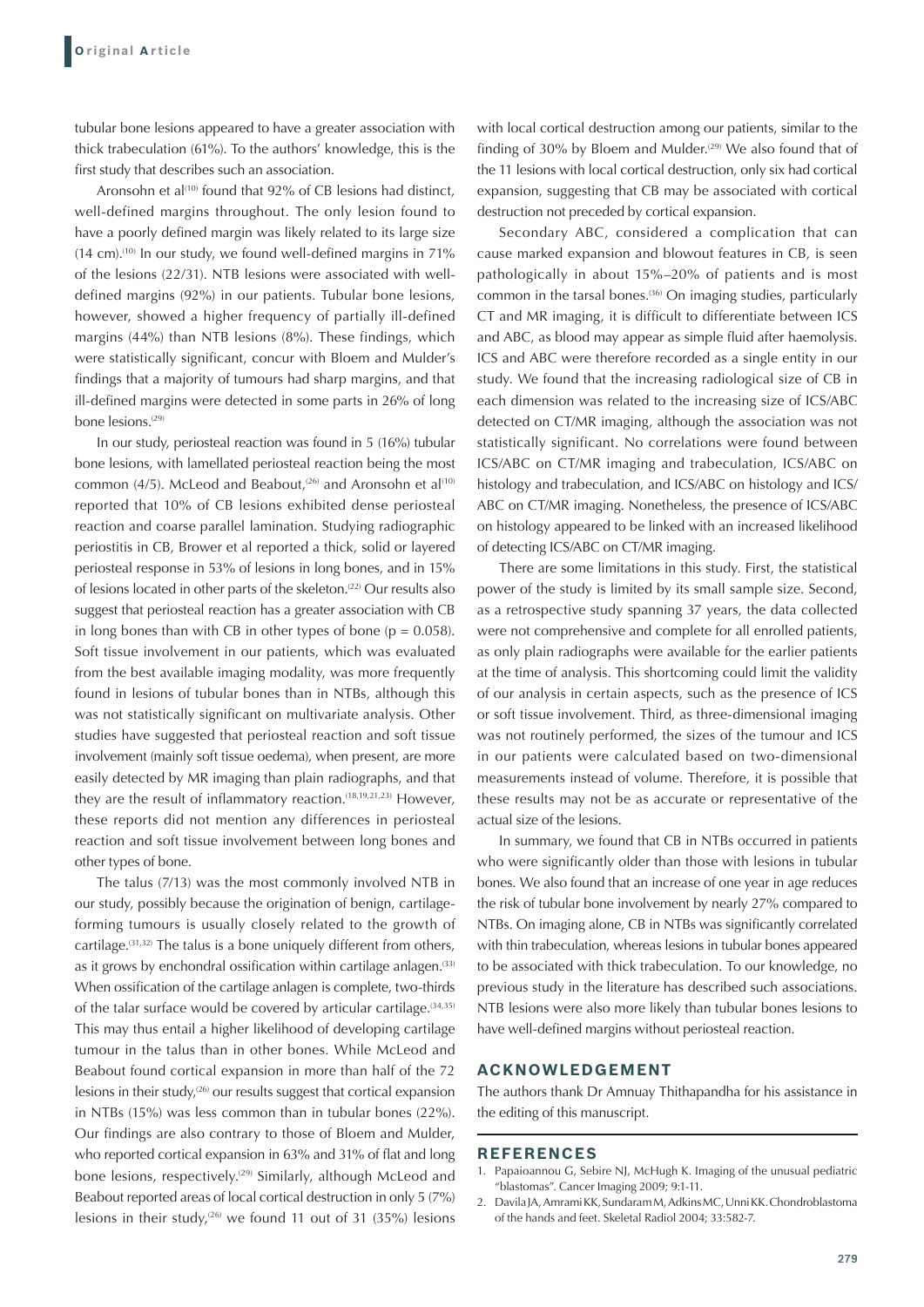tubular bone lesions appeared to have a greater association with thick trabeculation (61%). To the authors' knowledge, this is the first study that describes such an association.

Aronsohn et al<sup>(10)</sup> found that 92% of CB lesions had distinct, well-defined margins throughout. The only lesion found to have a poorly defined margin was likely related to its large size  $(14 \text{ cm})$ .<sup>(10)</sup> In our study, we found well-defined margins in  $71\%$ of the lesions (22/31). NTB lesions were associated with welldefined margins (92%) in our patients. Tubular bone lesions, however, showed a higher frequency of partially ill-defined margins (44%) than NTB lesions (8%). These findings, which were statistically significant, concur with Bloem and Mulder's findings that a majority of tumours had sharp margins, and that ill-defined margins were detected in some parts in 26% of long bone lesions.<sup>(29)</sup>

In our study, periosteal reaction was found in 5 (16%) tubular bone lesions, with lamellated periosteal reaction being the most common (4/5). McLeod and Beabout,<sup>(26)</sup> and Aronsohn et al<sup>(10)</sup> reported that 10% of CB lesions exhibited dense periosteal reaction and coarse parallel lamination. Studying radiographic periostitis in CB, Brower et al reported a thick, solid or layered periosteal response in 53% of lesions in long bones, and in 15% of lesions located in other parts of the skeleton.<sup>(22)</sup> Our results also suggest that periosteal reaction has a greater association with CB in long bones than with CB in other types of bone ( $p = 0.058$ ). Soft tissue involvement in our patients, which was evaluated from the best available imaging modality, was more frequently found in lesions of tubular bones than in NTBs, although this was not statistically significant on multivariate analysis. Other studies have suggested that periosteal reaction and soft tissue involvement (mainly soft tissue oedema), when present, are more easily detected by MR imaging than plain radiographs, and that they are the result of inflammatory reaction.(18,19,21,23) However, these reports did not mention any differences in periosteal reaction and soft tissue involvement between long bones and other types of bone.

The talus (7/13) was the most commonly involved NTB in our study, possibly because the origination of benign, cartilageforming tumours is usually closely related to the growth of cartilage.(31,32) The talus is a bone uniquely different from others, as it grows by enchondral ossification within cartilage anlagen.<sup>(33)</sup> When ossification of the cartilage anlagen is complete, two-thirds of the talar surface would be covered by articular cartilage. $(34,35)$ This may thus entail a higher likelihood of developing cartilage tumour in the talus than in other bones. While McLeod and Beabout found cortical expansion in more than half of the 72 lesions in their study, $(26)$  our results suggest that cortical expansion in NTBs (15%) was less common than in tubular bones (22%). Our findings are also contrary to those of Bloem and Mulder, who reported cortical expansion in 63% and 31% of flat and long bone lesions, respectively.<sup>(29)</sup> Similarly, although McLeod and Beabout reported areas of local cortical destruction in only 5 (7%) lesions in their study,<sup> $(26)$ </sup> we found 11 out of 31 (35%) lesions

with local cortical destruction among our patients, similar to the finding of 30% by Bloem and Mulder.<sup>(29)</sup> We also found that of the 11 lesions with local cortical destruction, only six had cortical expansion, suggesting that CB may be associated with cortical destruction not preceded by cortical expansion.

Secondary ABC, considered a complication that can cause marked expansion and blowout features in CB, is seen pathologically in about 15%–20% of patients and is most common in the tarsal bones.<sup>(36)</sup> On imaging studies, particularly CT and MR imaging, it is difficult to differentiate between ICS and ABC, as blood may appear as simple fluid after haemolysis. ICS and ABC were therefore recorded as a single entity in our study. We found that the increasing radiological size of CB in each dimension was related to the increasing size of ICS/ABC detected on CT/MR imaging, although the association was not statistically significant. No correlations were found between ICS/ABC on CT/MR imaging and trabeculation, ICS/ABC on histology and trabeculation, and ICS/ABC on histology and ICS/ ABC on CT/MR imaging. Nonetheless, the presence of ICS/ABC on histology appeared to be linked with an increased likelihood of detecting ICS/ABC on CT/MR imaging.

There are some limitations in this study. First, the statistical power of the study is limited by its small sample size. Second, as a retrospective study spanning 37 years, the data collected were not comprehensive and complete for all enrolled patients, as only plain radiographs were available for the earlier patients at the time of analysis. This shortcoming could limit the validity of our analysis in certain aspects, such as the presence of ICS or soft tissue involvement. Third, as three-dimensional imaging was not routinely performed, the sizes of the tumour and ICS in our patients were calculated based on two-dimensional measurements instead of volume. Therefore, it is possible that these results may not be as accurate or representative of the actual size of the lesions.

In summary, we found that CB in NTBs occurred in patients who were significantly older than those with lesions in tubular bones. We also found that an increase of one year in age reduces the risk of tubular bone involvement by nearly 27% compared to NTBs. On imaging alone, CB in NTBs was significantly correlated with thin trabeculation, whereas lesions in tubular bones appeared to be associated with thick trabeculation. To our knowledge, no previous study in the literature has described such associations. NTB lesions were also more likely than tubular bones lesions to have well-defined margins without periosteal reaction.

### **ACKNOWLEDGEMENT**

The authors thank Dr Amnuay Thithapandha for his assistance in the editing of this manuscript.

#### **REFERENCES**

- 1. Papaioannou G, Sebire NJ, McHugh K. Imaging of the unusual pediatric "blastomas". Cancer Imaging 2009; 9:1-11.
- 2. Davila JA, Amrami KK, Sundaram M, Adkins MC, Unni KK. Chondroblastoma of the hands and feet. Skeletal Radiol 2004; 33:582-7.